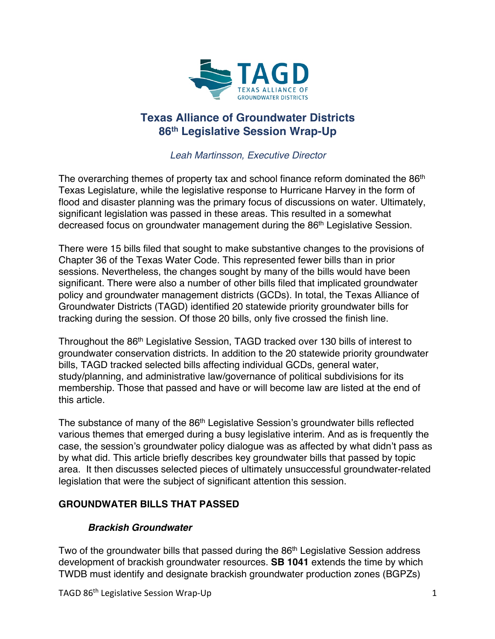

# **Texas Alliance of Groundwater Districts 86th Legislative Session Wrap-Up**

*Leah Martinsson, Executive Director*

The overarching themes of property tax and school finance reform dominated the  $86<sup>th</sup>$ Texas Legislature, while the legislative response to Hurricane Harvey in the form of flood and disaster planning was the primary focus of discussions on water. Ultimately, significant legislation was passed in these areas. This resulted in a somewhat decreased focus on groundwater management during the 86<sup>th</sup> Legislative Session.

There were 15 bills filed that sought to make substantive changes to the provisions of Chapter 36 of the Texas Water Code. This represented fewer bills than in prior sessions. Nevertheless, the changes sought by many of the bills would have been significant. There were also a number of other bills filed that implicated groundwater policy and groundwater management districts (GCDs). In total, the Texas Alliance of Groundwater Districts (TAGD) identified 20 statewide priority groundwater bills for tracking during the session. Of those 20 bills, only five crossed the finish line.

Throughout the 86th Legislative Session, TAGD tracked over 130 bills of interest to groundwater conservation districts. In addition to the 20 statewide priority groundwater bills, TAGD tracked selected bills affecting individual GCDs, general water, study/planning, and administrative law/governance of political subdivisions for its membership. Those that passed and have or will become law are listed at the end of this article.

The substance of many of the 86<sup>th</sup> Legislative Session's groundwater bills reflected various themes that emerged during a busy legislative interim. And as is frequently the case, the session's groundwater policy dialogue was as affected by what didn't pass as by what did. This article briefly describes key groundwater bills that passed by topic area. It then discusses selected pieces of ultimately unsuccessful groundwater-related legislation that were the subject of significant attention this session.

## **GROUNDWATER BILLS THAT PASSED**

#### *Brackish Groundwater*

Two of the groundwater bills that passed during the 86<sup>th</sup> Legislative Session address development of brackish groundwater resources. **SB 1041** extends the time by which TWDB must identify and designate brackish groundwater production zones (BGPZs)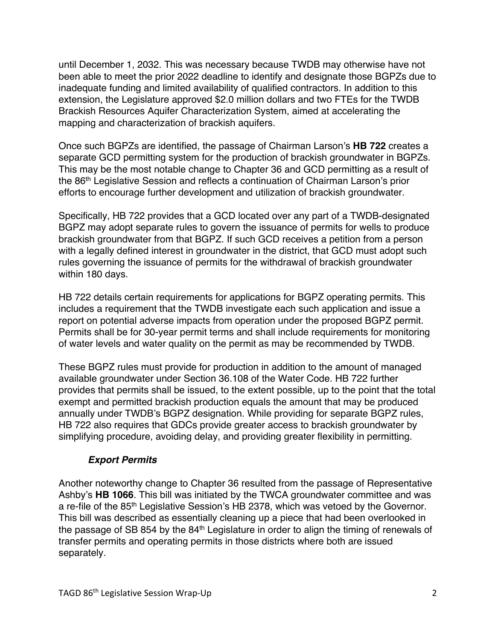until December 1, 2032. This was necessary because TWDB may otherwise have not been able to meet the prior 2022 deadline to identify and designate those BGPZs due to inadequate funding and limited availability of qualified contractors. In addition to this extension, the Legislature approved \$2.0 million dollars and two FTEs for the TWDB Brackish Resources Aquifer Characterization System, aimed at accelerating the mapping and characterization of brackish aquifers.

Once such BGPZs are identified, the passage of Chairman Larson's **HB 722** creates a separate GCD permitting system for the production of brackish groundwater in BGPZs. This may be the most notable change to Chapter 36 and GCD permitting as a result of the 86<sup>th</sup> Legislative Session and reflects a continuation of Chairman Larson's prior efforts to encourage further development and utilization of brackish groundwater.

Specifically, HB 722 provides that a GCD located over any part of a TWDB-designated BGPZ may adopt separate rules to govern the issuance of permits for wells to produce brackish groundwater from that BGPZ. If such GCD receives a petition from a person with a legally defined interest in groundwater in the district, that GCD must adopt such rules governing the issuance of permits for the withdrawal of brackish groundwater within 180 days.

HB 722 details certain requirements for applications for BGPZ operating permits. This includes a requirement that the TWDB investigate each such application and issue a report on potential adverse impacts from operation under the proposed BGPZ permit. Permits shall be for 30-year permit terms and shall include requirements for monitoring of water levels and water quality on the permit as may be recommended by TWDB.

These BGPZ rules must provide for production in addition to the amount of managed available groundwater under Section 36.108 of the Water Code. HB 722 further provides that permits shall be issued, to the extent possible, up to the point that the total exempt and permitted brackish production equals the amount that may be produced annually under TWDB's BGPZ designation. While providing for separate BGPZ rules, HB 722 also requires that GDCs provide greater access to brackish groundwater by simplifying procedure, avoiding delay, and providing greater flexibility in permitting.

#### *Export Permits*

Another noteworthy change to Chapter 36 resulted from the passage of Representative Ashby's **HB 1066**. This bill was initiated by the TWCA groundwater committee and was a re-file of the 85<sup>th</sup> Legislative Session's HB 2378, which was vetoed by the Governor. This bill was described as essentially cleaning up a piece that had been overlooked in the passage of SB 854 by the 84th Legislature in order to align the timing of renewals of transfer permits and operating permits in those districts where both are issued separately.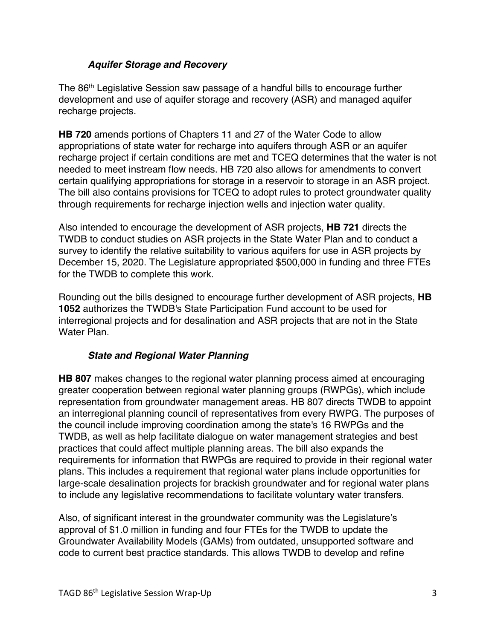#### *Aquifer Storage and Recovery*

The 86th Legislative Session saw passage of a handful bills to encourage further development and use of aquifer storage and recovery (ASR) and managed aquifer recharge projects.

**HB 720** amends portions of Chapters 11 and 27 of the Water Code to allow appropriations of state water for recharge into aquifers through ASR or an aquifer recharge project if certain conditions are met and TCEQ determines that the water is not needed to meet instream flow needs. HB 720 also allows for amendments to convert certain qualifying appropriations for storage in a reservoir to storage in an ASR project. The bill also contains provisions for TCEQ to adopt rules to protect groundwater quality through requirements for recharge injection wells and injection water quality.

Also intended to encourage the development of ASR projects, **HB 721** directs the TWDB to conduct studies on ASR projects in the State Water Plan and to conduct a survey to identify the relative suitability to various aquifers for use in ASR projects by December 15, 2020. The Legislature appropriated \$500,000 in funding and three FTEs for the TWDB to complete this work.

Rounding out the bills designed to encourage further development of ASR projects, **HB 1052** authorizes the TWDB's State Participation Fund account to be used for interregional projects and for desalination and ASR projects that are not in the State Water Plan.

#### *State and Regional Water Planning*

**HB 807** makes changes to the regional water planning process aimed at encouraging greater cooperation between regional water planning groups (RWPGs), which include representation from groundwater management areas. HB 807 directs TWDB to appoint an interregional planning council of representatives from every RWPG. The purposes of the council include improving coordination among the state's 16 RWPGs and the TWDB, as well as help facilitate dialogue on water management strategies and best practices that could affect multiple planning areas. The bill also expands the requirements for information that RWPGs are required to provide in their regional water plans. This includes a requirement that regional water plans include opportunities for large-scale desalination projects for brackish groundwater and for regional water plans to include any legislative recommendations to facilitate voluntary water transfers.

Also, of significant interest in the groundwater community was the Legislature's approval of \$1.0 million in funding and four FTEs for the TWDB to update the Groundwater Availability Models (GAMs) from outdated, unsupported software and code to current best practice standards. This allows TWDB to develop and refine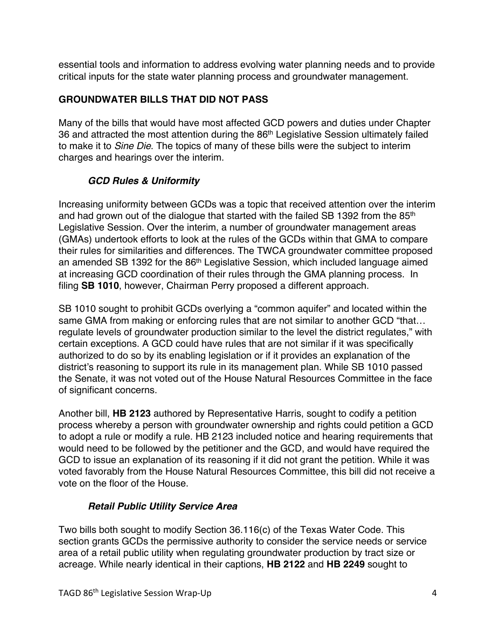essential tools and information to address evolving water planning needs and to provide critical inputs for the state water planning process and groundwater management.

## **GROUNDWATER BILLS THAT DID NOT PASS**

Many of the bills that would have most affected GCD powers and duties under Chapter 36 and attracted the most attention during the 86<sup>th</sup> Legislative Session ultimately failed to make it to *Sine Die*. The topics of many of these bills were the subject to interim charges and hearings over the interim.

# *GCD Rules & Uniformity*

Increasing uniformity between GCDs was a topic that received attention over the interim and had grown out of the dialogue that started with the failed SB 1392 from the 85<sup>th</sup> Legislative Session. Over the interim, a number of groundwater management areas (GMAs) undertook efforts to look at the rules of the GCDs within that GMA to compare their rules for similarities and differences. The TWCA groundwater committee proposed an amended SB 1392 for the 86<sup>th</sup> Legislative Session, which included language aimed at increasing GCD coordination of their rules through the GMA planning process. In filing **SB 1010**, however, Chairman Perry proposed a different approach.

SB 1010 sought to prohibit GCDs overlying a "common aquifer" and located within the same GMA from making or enforcing rules that are not similar to another GCD "that... regulate levels of groundwater production similar to the level the district regulates," with certain exceptions. A GCD could have rules that are not similar if it was specifically authorized to do so by its enabling legislation or if it provides an explanation of the district's reasoning to support its rule in its management plan. While SB 1010 passed the Senate, it was not voted out of the House Natural Resources Committee in the face of significant concerns.

Another bill, **HB 2123** authored by Representative Harris, sought to codify a petition process whereby a person with groundwater ownership and rights could petition a GCD to adopt a rule or modify a rule. HB 2123 included notice and hearing requirements that would need to be followed by the petitioner and the GCD, and would have required the GCD to issue an explanation of its reasoning if it did not grant the petition. While it was voted favorably from the House Natural Resources Committee, this bill did not receive a vote on the floor of the House.

## *Retail Public Utility Service Area*

Two bills both sought to modify Section 36.116(c) of the Texas Water Code. This section grants GCDs the permissive authority to consider the service needs or service area of a retail public utility when regulating groundwater production by tract size or acreage. While nearly identical in their captions, **HB 2122** and **HB 2249** sought to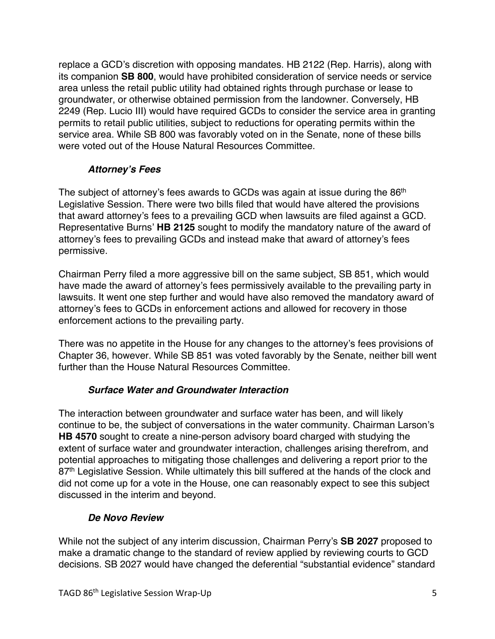replace a GCD's discretion with opposing mandates. HB 2122 (Rep. Harris), along with its companion **SB 800**, would have prohibited consideration of service needs or service area unless the retail public utility had obtained rights through purchase or lease to groundwater, or otherwise obtained permission from the landowner. Conversely, HB 2249 (Rep. Lucio III) would have required GCDs to consider the service area in granting permits to retail public utilities, subject to reductions for operating permits within the service area. While SB 800 was favorably voted on in the Senate, none of these bills were voted out of the House Natural Resources Committee.

#### *Attorney's Fees*

The subject of attorney's fees awards to GCDs was again at issue during the 86<sup>th</sup> Legislative Session. There were two bills filed that would have altered the provisions that award attorney's fees to a prevailing GCD when lawsuits are filed against a GCD. Representative Burns' **HB 2125** sought to modify the mandatory nature of the award of attorney's fees to prevailing GCDs and instead make that award of attorney's fees permissive.

Chairman Perry filed a more aggressive bill on the same subject, SB 851, which would have made the award of attorney's fees permissively available to the prevailing party in lawsuits. It went one step further and would have also removed the mandatory award of attorney's fees to GCDs in enforcement actions and allowed for recovery in those enforcement actions to the prevailing party.

There was no appetite in the House for any changes to the attorney's fees provisions of Chapter 36, however. While SB 851 was voted favorably by the Senate, neither bill went further than the House Natural Resources Committee.

## *Surface Water and Groundwater Interaction*

The interaction between groundwater and surface water has been, and will likely continue to be, the subject of conversations in the water community. Chairman Larson's **HB 4570** sought to create a nine-person advisory board charged with studying the extent of surface water and groundwater interaction, challenges arising therefrom, and potential approaches to mitigating those challenges and delivering a report prior to the 87<sup>th</sup> Legislative Session. While ultimately this bill suffered at the hands of the clock and did not come up for a vote in the House, one can reasonably expect to see this subject discussed in the interim and beyond.

## *De Novo Review*

While not the subject of any interim discussion, Chairman Perry's **SB 2027** proposed to make a dramatic change to the standard of review applied by reviewing courts to GCD decisions. SB 2027 would have changed the deferential "substantial evidence" standard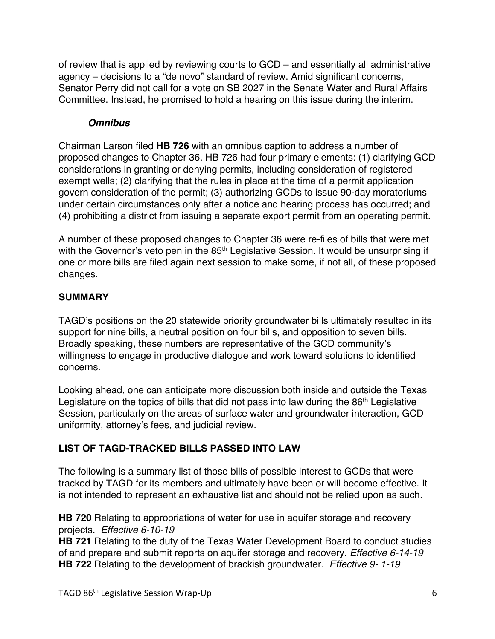of review that is applied by reviewing courts to GCD – and essentially all administrative agency – decisions to a "de novo" standard of review. Amid significant concerns, Senator Perry did not call for a vote on SB 2027 in the Senate Water and Rural Affairs Committee. Instead, he promised to hold a hearing on this issue during the interim.

#### *Omnibus*

Chairman Larson filed **HB 726** with an omnibus caption to address a number of proposed changes to Chapter 36. HB 726 had four primary elements: (1) clarifying GCD considerations in granting or denying permits, including consideration of registered exempt wells; (2) clarifying that the rules in place at the time of a permit application govern consideration of the permit; (3) authorizing GCDs to issue 90-day moratoriums under certain circumstances only after a notice and hearing process has occurred; and (4) prohibiting a district from issuing a separate export permit from an operating permit.

A number of these proposed changes to Chapter 36 were re-files of bills that were met with the Governor's veto pen in the 85<sup>th</sup> Legislative Session. It would be unsurprising if one or more bills are filed again next session to make some, if not all, of these proposed changes.

#### **SUMMARY**

TAGD's positions on the 20 statewide priority groundwater bills ultimately resulted in its support for nine bills, a neutral position on four bills, and opposition to seven bills. Broadly speaking, these numbers are representative of the GCD community's willingness to engage in productive dialogue and work toward solutions to identified concerns.

Looking ahead, one can anticipate more discussion both inside and outside the Texas Legislature on the topics of bills that did not pass into law during the 86<sup>th</sup> Legislative Session, particularly on the areas of surface water and groundwater interaction, GCD uniformity, attorney's fees, and judicial review.

## **LIST OF TAGD-TRACKED BILLS PASSED INTO LAW**

The following is a summary list of those bills of possible interest to GCDs that were tracked by TAGD for its members and ultimately have been or will become effective. It is not intended to represent an exhaustive list and should not be relied upon as such.

**HB 720** Relating to appropriations of water for use in aquifer storage and recovery projects. *Effective 6-10-19*

**HB 721** Relating to the duty of the Texas Water Development Board to conduct studies of and prepare and submit reports on aquifer storage and recovery. *Effective 6-14-19* **HB 722** Relating to the development of brackish groundwater. *Effective 9- 1-19*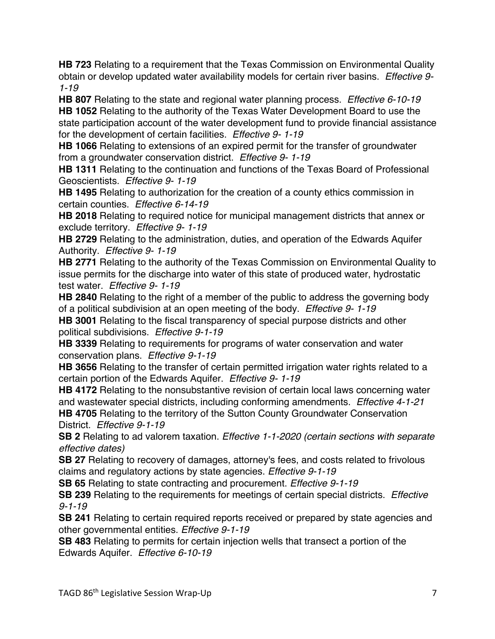**HB 723** Relating to a requirement that the Texas Commission on Environmental Quality obtain or develop updated water availability models for certain river basins. *Effective 9- 1-19*

**HB 807** Relating to the state and regional water planning process. *Effective 6-10-19* **HB 1052** Relating to the authority of the Texas Water Development Board to use the state participation account of the water development fund to provide financial assistance for the development of certain facilities. *Effective 9- 1-19*

**HB 1066** Relating to extensions of an expired permit for the transfer of groundwater from a groundwater conservation district. *Effective 9- 1-19*

**HB 1311** Relating to the continuation and functions of the Texas Board of Professional Geoscientists. *Effective 9- 1-19*

**HB 1495** Relating to authorization for the creation of a county ethics commission in certain counties. *Effective 6-14-19*

**HB 2018** Relating to required notice for municipal management districts that annex or exclude territory. *Effective 9- 1-19*

**HB 2729** Relating to the administration, duties, and operation of the Edwards Aquifer Authority. *Effective 9- 1-19*

**HB 2771** Relating to the authority of the Texas Commission on Environmental Quality to issue permits for the discharge into water of this state of produced water, hydrostatic test water. *Effective 9- 1-19*

**HB 2840** Relating to the right of a member of the public to address the governing body of a political subdivision at an open meeting of the body. *Effective 9- 1-19*

**HB 3001** Relating to the fiscal transparency of special purpose districts and other political subdivisions. *Effective 9-1-19*

**HB 3339** Relating to requirements for programs of water conservation and water conservation plans. *Effective 9-1-19*

**HB 3656** Relating to the transfer of certain permitted irrigation water rights related to a certain portion of the Edwards Aquifer. *Effective 9- 1-19*

**HB 4172** Relating to the nonsubstantive revision of certain local laws concerning water and wastewater special districts, including conforming amendments. *Effective 4-1-21*

**HB 4705** Relating to the territory of the Sutton County Groundwater Conservation District. *Effective 9-1-19*

**SB 2** Relating to ad valorem taxation. *Effective 1-1-2020 (certain sections with separate effective dates)*

**SB 27** Relating to recovery of damages, attorney's fees, and costs related to frivolous claims and regulatory actions by state agencies. *Effective 9-1-19*

**SB 65** Relating to state contracting and procurement. *Effective 9-1-19*

**SB 239** Relating to the requirements for meetings of certain special districts. *Effective 9-1-19*

**SB 241** Relating to certain required reports received or prepared by state agencies and other governmental entities. *Effective 9-1-19*

**SB 483** Relating to permits for certain injection wells that transect a portion of the Edwards Aquifer. *Effective 6-10-19*